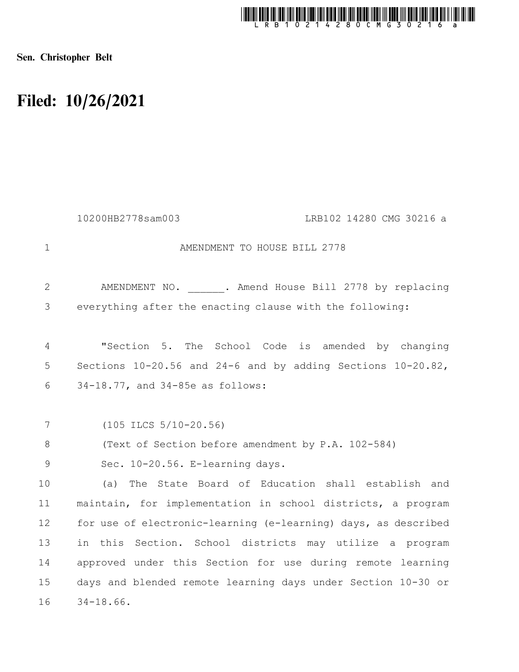

Sen. Christopher Belt

## Filed: 10/26/2021

|               | 10200HB2778sam003<br>LRB102 14280 CMG 30216 a                  |
|---------------|----------------------------------------------------------------|
| $\mathbf{1}$  | AMENDMENT TO HOUSE BILL 2778                                   |
| $\mathbf{2}$  | AMENDMENT NO. . Amend House Bill 2778 by replacing             |
| 3             | everything after the enacting clause with the following:       |
| 4             | "Section 5. The School Code is amended by changing             |
| 5             | Sections 10-20.56 and 24-6 and by adding Sections 10-20.82,    |
| 6             | 34-18.77, and 34-85e as follows:                               |
|               |                                                                |
| 7             | $(105$ ILCS $5/10-20.56)$                                      |
| 8             | (Text of Section before amendment by P.A. 102-584)             |
| $\mathcal{G}$ | Sec. 10-20.56. E-learning days.                                |
| 10            | The State Board of Education shall establish and<br>(a)        |
| 11            | maintain, for implementation in school districts, a program    |
| 12            | for use of electronic-learning (e-learning) days, as described |
| 13            | in this Section. School districts may utilize a program        |
| 14            | approved under this Section for use during remote learning     |
| 15            | days and blended remote learning days under Section 10-30 or   |
| 16            | $34 - 18.66$ .                                                 |
|               |                                                                |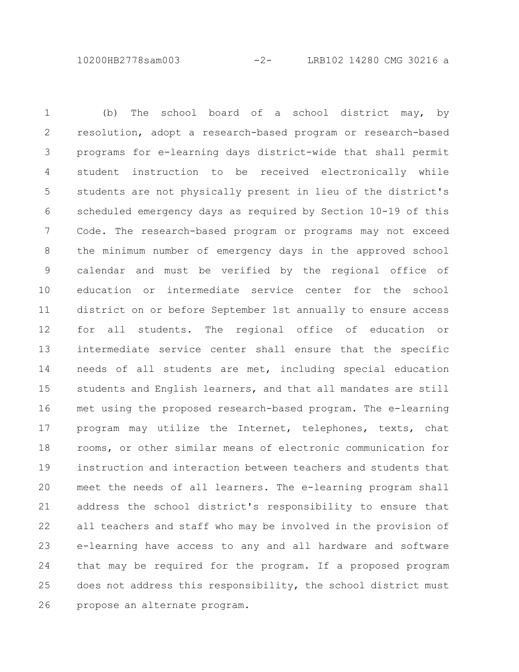10200HB2778sam003 -2- LRB102 14280 CMG 30216 a

(b) The school board of a school district may, by resolution, adopt a research-based program or research-based programs for e-learning days district-wide that shall permit student instruction to be received electronically while students are not physically present in lieu of the district's scheduled emergency days as required by Section 10-19 of this Code. The research-based program or programs may not exceed the minimum number of emergency days in the approved school calendar and must be verified by the regional office of education or intermediate service center for the school district on or before September 1st annually to ensure access for all students. The regional office of education or intermediate service center shall ensure that the specific needs of all students are met, including special education students and English learners, and that all mandates are still met using the proposed research-based program. The e-learning program may utilize the Internet, telephones, texts, chat rooms, or other similar means of electronic communication for instruction and interaction between teachers and students that meet the needs of all learners. The e-learning program shall address the school district's responsibility to ensure that all teachers and staff who may be involved in the provision of e-learning have access to any and all hardware and software that may be required for the program. If a proposed program does not address this responsibility, the school district must propose an alternate program. 1 2 3 4 5 6 7 8 9 10 11 12 13 14 15 16 17 18 19 20 21 22 23 24 25 26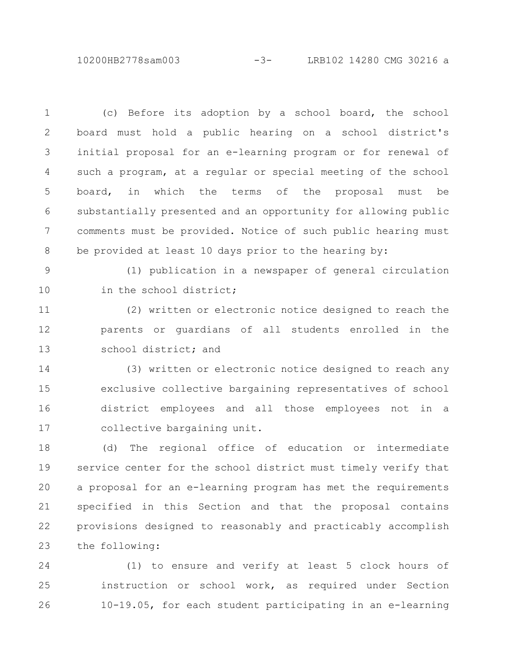10200HB2778sam003 -3- LRB102 14280 CMG 30216 a

(c) Before its adoption by a school board, the school board must hold a public hearing on a school district's initial proposal for an e-learning program or for renewal of such a program, at a regular or special meeting of the school board, in which the terms of the proposal must be substantially presented and an opportunity for allowing public comments must be provided. Notice of such public hearing must be provided at least 10 days prior to the hearing by: (1) publication in a newspaper of general circulation in the school district; (2) written or electronic notice designed to reach the parents or guardians of all students enrolled in the school district; and (3) written or electronic notice designed to reach any exclusive collective bargaining representatives of school district employees and all those employees not in a collective bargaining unit. (d) The regional office of education or intermediate service center for the school district must timely verify that a proposal for an e-learning program has met the requirements specified in this Section and that the proposal contains provisions designed to reasonably and practicably accomplish the following: 1 2 3 4 5 6 7 8 9 10 11 12 13 14 15 16 17 18 19 20 21 22 23

(1) to ensure and verify at least 5 clock hours of instruction or school work, as required under Section 10-19.05, for each student participating in an e-learning 24 25 26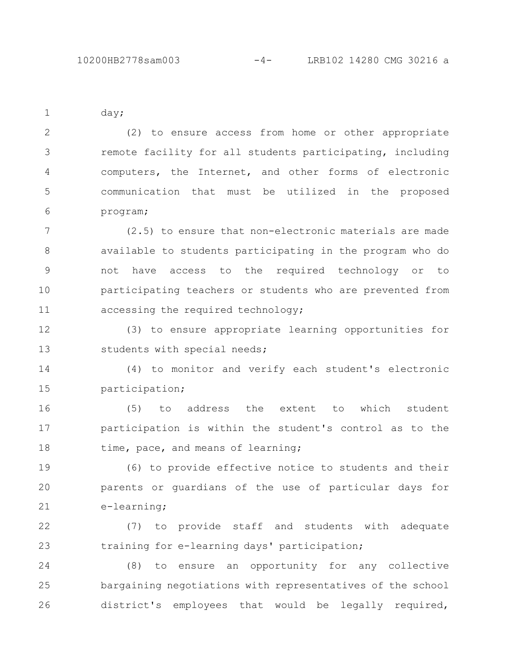day; (2) to ensure access from home or other appropriate remote facility for all students participating, including computers, the Internet, and other forms of electronic communication that must be utilized in the proposed program; (2.5) to ensure that non-electronic materials are made 1 2 3 4 5 6 7

available to students participating in the program who do not have access to the required technology or to participating teachers or students who are prevented from accessing the required technology; 8 9 10 11

(3) to ensure appropriate learning opportunities for students with special needs; 12 13

(4) to monitor and verify each student's electronic participation; 14 15

(5) to address the extent to which student participation is within the student's control as to the time, pace, and means of learning; 16 17 18

(6) to provide effective notice to students and their parents or guardians of the use of particular days for e-learning; 19 20 21

(7) to provide staff and students with adequate training for e-learning days' participation; 22 23

(8) to ensure an opportunity for any collective bargaining negotiations with representatives of the school district's employees that would be legally required, 24 25 26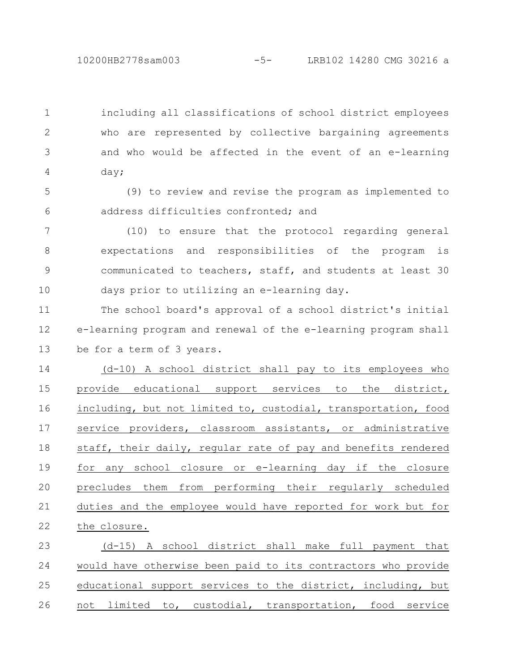including all classifications of school district employees who are represented by collective bargaining agreements and who would be affected in the event of an e-learning day; 1 2 3 4

(9) to review and revise the program as implemented to address difficulties confronted; and 5 6

(10) to ensure that the protocol regarding general expectations and responsibilities of the program is communicated to teachers, staff, and students at least 30 days prior to utilizing an e-learning day. 7 8 9 10

The school board's approval of a school district's initial e-learning program and renewal of the e-learning program shall be for a term of 3 years. 11 12 13

(d-10) A school district shall pay to its employees who provide educational support services to the district, including, but not limited to, custodial, transportation, food service providers, classroom assistants, or administrative staff, their daily, regular rate of pay and benefits rendered for any school closure or e-learning day if the closure precludes them from performing their regularly scheduled duties and the employee would have reported for work but for the closure. 14 15 16 17 18 19 20 21 22

(d-15) A school district shall make full payment that would have otherwise been paid to its contractors who provide educational support services to the district, including, but not limited to, custodial, transportation, food service 23 24 25 26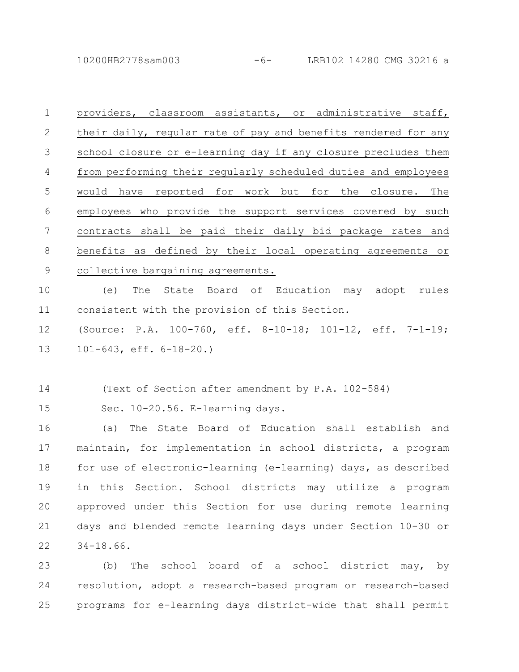10200HB2778sam003 -6- LRB102 14280 CMG 30216 a

| $\mathbf{1}$    | providers, classroom assistants, or administrative staff,      |
|-----------------|----------------------------------------------------------------|
| $\mathbf{2}$    | their daily, regular rate of pay and benefits rendered for any |
| 3               | school closure or e-learning day if any closure precludes them |
| 4               | from performing their regularly scheduled duties and employees |
| 5               | would have reported for work but for the closure. The          |
| 6               | employees who provide the support services covered by such     |
| $7\phantom{.0}$ | contracts shall be paid their daily bid package rates and      |
| 8               | benefits as defined by their local operating agreements or     |
| 9               | collective bargaining agreements.                              |
| 10              | (e)<br>The<br>State Board of Education may adopt rules         |
| 11              | consistent with the provision of this Section.                 |
| 12              | (Source: P.A. 100-760, eff. 8-10-18; 101-12, eff. 7-1-19;      |
| 13              | $101-643$ , eff. $6-18-20.$ )                                  |
|                 |                                                                |
| 14              | (Text of Section after amendment by P.A. 102-584)              |
| 15              | Sec. 10-20.56. E-learning days.                                |
| 16              | The State Board of Education shall establish and<br>(a)        |
| 17              | maintain, for implementation in school districts, a program    |
| 18              | for use of electronic-learning (e-learning) days, as described |
| 19              | in this Section. School districts may utilize a program        |
| 20              | approved under this Section for use during remote learning     |
| 21              | days and blended remote learning days under Section 10-30 or   |

34-18.66. 22

(b) The school board of a school district may, by resolution, adopt a research-based program or research-based programs for e-learning days district-wide that shall permit 23 24 25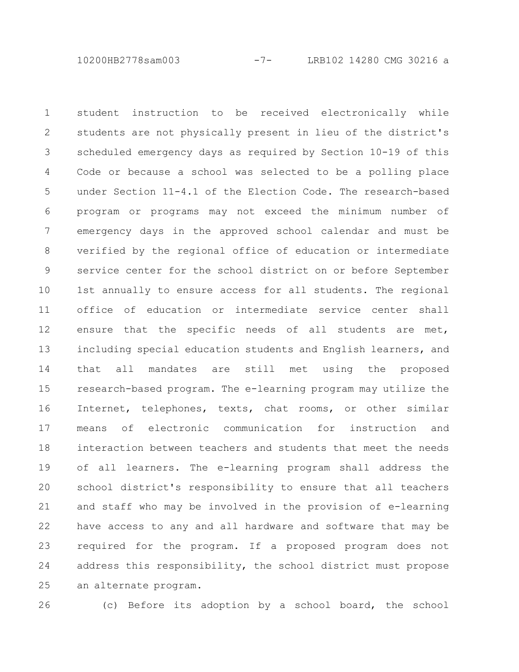10200HB2778sam003 -7- LRB102 14280 CMG 30216 a

student instruction to be received electronically while students are not physically present in lieu of the district's scheduled emergency days as required by Section 10-19 of this Code or because a school was selected to be a polling place under Section 11-4.1 of the Election Code. The research-based program or programs may not exceed the minimum number of emergency days in the approved school calendar and must be verified by the regional office of education or intermediate service center for the school district on or before September 1st annually to ensure access for all students. The regional office of education or intermediate service center shall ensure that the specific needs of all students are met, including special education students and English learners, and that all mandates are still met using the proposed research-based program. The e-learning program may utilize the Internet, telephones, texts, chat rooms, or other similar means of electronic communication for instruction and interaction between teachers and students that meet the needs of all learners. The e-learning program shall address the school district's responsibility to ensure that all teachers and staff who may be involved in the provision of e-learning have access to any and all hardware and software that may be required for the program. If a proposed program does not address this responsibility, the school district must propose an alternate program. 1 2 3 4 5 6 7 8 9 10 11 12 13 14 15 16 17 18 19 20 21 22 23 24 25

26

(c) Before its adoption by a school board, the school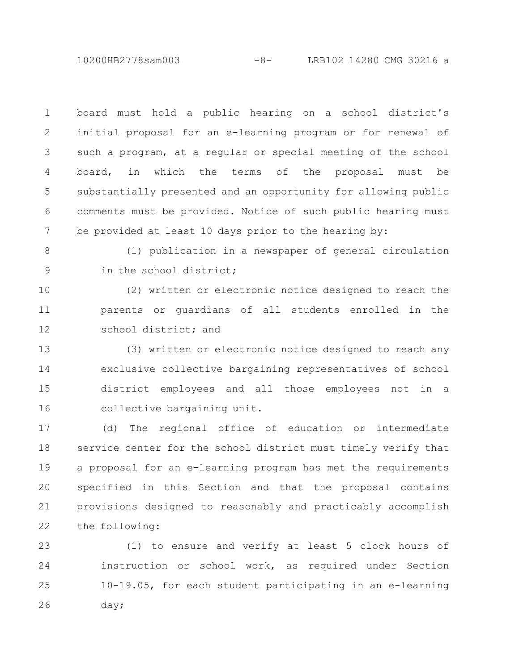10200HB2778sam003 -8- LRB102 14280 CMG 30216 a

board must hold a public hearing on a school district's initial proposal for an e-learning program or for renewal of such a program, at a regular or special meeting of the school board, in which the terms of the proposal must be substantially presented and an opportunity for allowing public comments must be provided. Notice of such public hearing must be provided at least 10 days prior to the hearing by: 1 2 3 4 5 6 7

8

9

(1) publication in a newspaper of general circulation in the school district;

(2) written or electronic notice designed to reach the parents or guardians of all students enrolled in the school district; and 10 11 12

(3) written or electronic notice designed to reach any exclusive collective bargaining representatives of school district employees and all those employees not in a collective bargaining unit. 13 14 15 16

(d) The regional office of education or intermediate service center for the school district must timely verify that a proposal for an e-learning program has met the requirements specified in this Section and that the proposal contains provisions designed to reasonably and practicably accomplish the following: 17 18 19 20 21 22

(1) to ensure and verify at least 5 clock hours of instruction or school work, as required under Section 10-19.05, for each student participating in an e-learning day; 23 24 25 26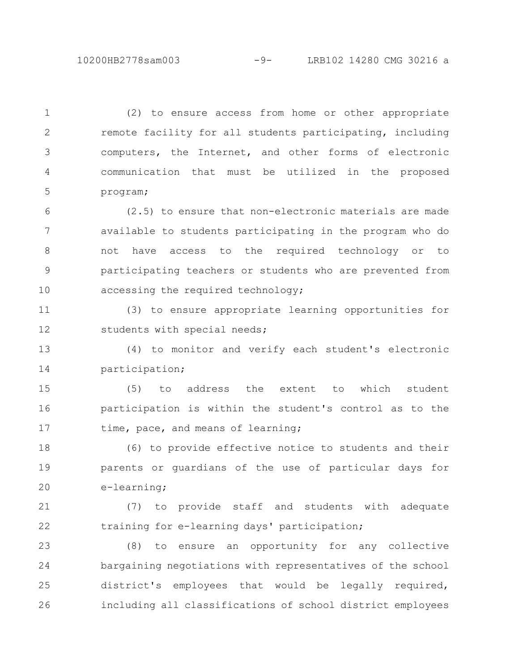(2) to ensure access from home or other appropriate remote facility for all students participating, including computers, the Internet, and other forms of electronic communication that must be utilized in the proposed program; 1 2 3 4 5

(2.5) to ensure that non-electronic materials are made available to students participating in the program who do not have access to the required technology or to participating teachers or students who are prevented from accessing the required technology; 6 7 8 9 10

(3) to ensure appropriate learning opportunities for students with special needs; 11 12

(4) to monitor and verify each student's electronic participation; 13 14

(5) to address the extent to which student participation is within the student's control as to the time, pace, and means of learning; 15 16 17

(6) to provide effective notice to students and their parents or guardians of the use of particular days for e-learning; 18 19 20

(7) to provide staff and students with adequate training for e-learning days' participation; 21 22

(8) to ensure an opportunity for any collective bargaining negotiations with representatives of the school district's employees that would be legally required, including all classifications of school district employees 23 24 25 26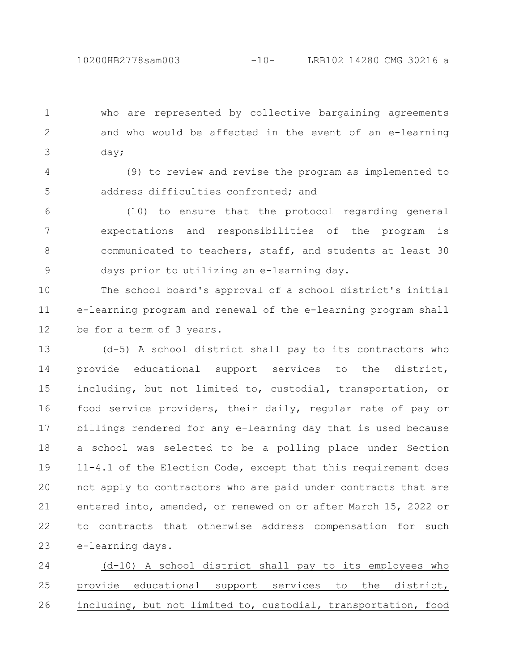who are represented by collective bargaining agreements and who would be affected in the event of an e-learning day; 1 2 3

(9) to review and revise the program as implemented to address difficulties confronted; and 4 5

(10) to ensure that the protocol regarding general expectations and responsibilities of the program is communicated to teachers, staff, and students at least 30 days prior to utilizing an e-learning day. 6 7 8 9

The school board's approval of a school district's initial e-learning program and renewal of the e-learning program shall be for a term of 3 years. 10 11 12

(d-5) A school district shall pay to its contractors who provide educational support services to the district, including, but not limited to, custodial, transportation, or food service providers, their daily, regular rate of pay or billings rendered for any e-learning day that is used because a school was selected to be a polling place under Section 11-4.1 of the Election Code, except that this requirement does not apply to contractors who are paid under contracts that are entered into, amended, or renewed on or after March 15, 2022 or to contracts that otherwise address compensation for such e-learning days. 13 14 15 16 17 18 19 20 21 22 23

(d-10) A school district shall pay to its employees who provide educational support services to the district, including, but not limited to, custodial, transportation, food 24 25 26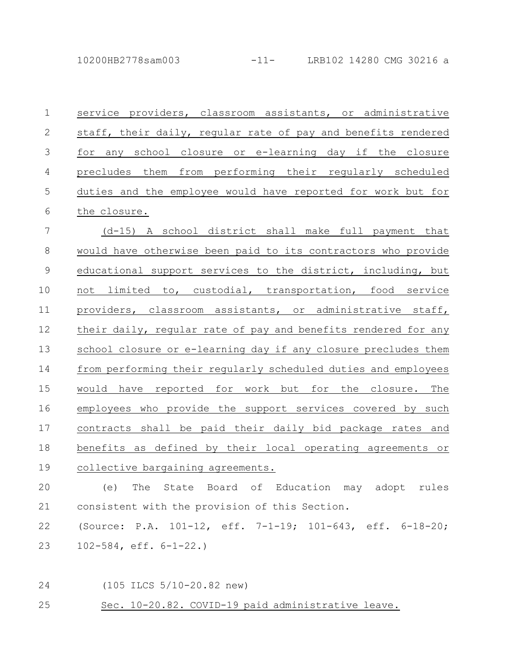| $\mathbf 1$   | service providers, classroom assistants, or administrative     |
|---------------|----------------------------------------------------------------|
| $\mathbf{2}$  | staff, their daily, regular rate of pay and benefits rendered  |
| $\mathcal{S}$ | for any school closure or e-learning day if the closure        |
| $\sqrt{4}$    | precludes them from performing their regularly scheduled       |
| 5             | duties and the employee would have reported for work but for   |
| 6             | the closure.                                                   |
| 7             | (d-15) A school district shall make full payment that          |
| $\,8\,$       | would have otherwise been paid to its contractors who provide  |
| $\mathcal{G}$ | educational support services to the district, including, but   |
| 10            | not limited to, custodial, transportation, food service        |
| 11            | providers, classroom assistants, or administrative staff,      |
| 12            | their daily, regular rate of pay and benefits rendered for any |
| 13            | school closure or e-learning day if any closure precludes them |
| 14            | from performing their regularly scheduled duties and employees |
| 15            | would have reported for work but for the closure. The          |
| 16            | employees who provide the support services covered by such     |
| 17            | contracts shall be paid their daily bid package rates and      |
| 18            | benefits as defined by their local operating agreements or     |
| 19            | collective bargaining agreements.                              |

(e) The State Board of Education may adopt rules consistent with the provision of this Section. 20 21

(Source: P.A. 101-12, eff. 7-1-19; 101-643, eff. 6-18-20; 102-584, eff. 6-1-22.) 22 23

(105 ILCS 5/10-20.82 new) 24

Sec. 10-20.82. COVID-19 paid administrative leave. 25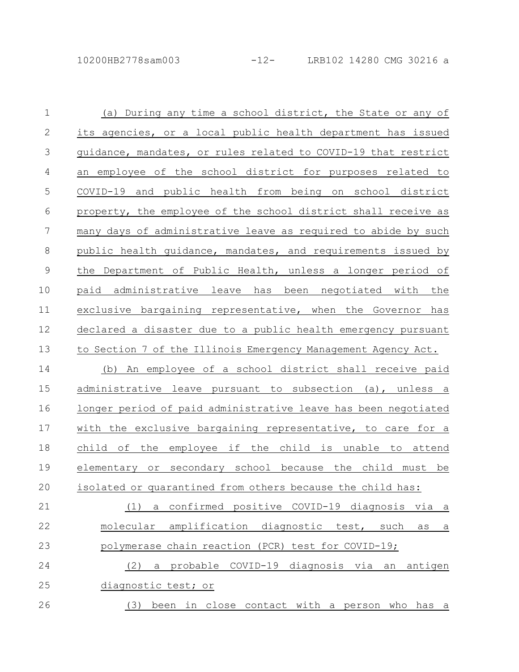| $\mathbf 1$     | (a) During any time a school district, the State or any of             |
|-----------------|------------------------------------------------------------------------|
| $\mathbf{2}$    | its agencies, or a local public health department has issued           |
| $\mathfrak{Z}$  | guidance, mandates, or rules related to COVID-19 that restrict         |
| $\overline{4}$  | an employee of the school district for purposes related to             |
| 5               | COVID-19 and public health from being on school district               |
| 6               | property, the employee of the school district shall receive as         |
| $7\phantom{.0}$ | many days of administrative leave as required to abide by such         |
| $8\,$           | public health quidance, mandates, and requirements issued by           |
| $\mathcal{G}$   | the Department of Public Health, unless a longer period of             |
| 10              | paid administrative leave has been negotiated with the                 |
| 11              | exclusive bargaining representative, when the Governor has             |
| 12              | declared a disaster due to a public health emergency pursuant          |
| 13              | to Section 7 of the Illinois Emergency Management Agency Act.          |
| 14              | (b) An employee of a school district shall receive paid                |
| 15              | administrative leave pursuant to subsection (a), unless a              |
| 16              | longer period of paid administrative leave has been negotiated         |
| 17              | with the exclusive bargaining representative, to care for a            |
| 18              | child of the employee if the child is unable to attend                 |
| 19              | or secondary school because the child must be<br>elementary            |
| 20              | isolated or quarantined from others because the child has:             |
| 21              | a confirmed positive COVID-19 diagnosis via a<br>(1)                   |
| 22              | molecular amplification diagnostic test, such<br>as<br>$\underline{a}$ |
| 23              | polymerase chain reaction (PCR) test for COVID-19;                     |
| 24              | a probable COVID-19 diagnosis via an<br>antigen<br>(2)                 |
| 25              | diagnostic test; or                                                    |
| 26              | been in close contact with a person who has a<br>(3)                   |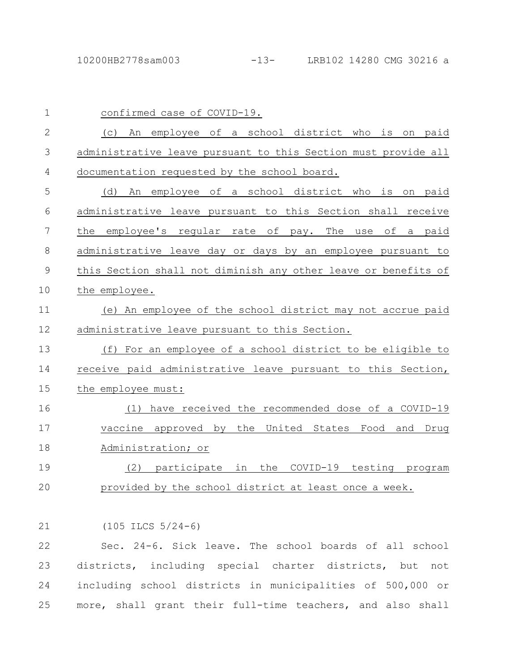| $\mathbf{1}$   | confirmed case of COVID-19.                                    |
|----------------|----------------------------------------------------------------|
| 2              | An employee of a school district who is on paid<br>(C)         |
| 3              | administrative leave pursuant to this Section must provide all |
| $\overline{4}$ | documentation requested by the school board.                   |
| 5              | An employee of a school district who is<br>(d)<br>on paid      |
| 6              | administrative leave pursuant to this Section shall receive    |
| 7              | the<br>employee's regular rate of pay.<br>The use<br>of a paid |
| 8              | administrative leave day or days by an employee pursuant to    |
| 9              | this Section shall not diminish any other leave or benefits of |
| 10             | the employee.                                                  |
| 11             | (e) An employee of the school district may not accrue paid     |
| 12             | administrative leave pursuant to this Section.                 |
| 13             | For an employee of a school district to be eligible to<br>(f)  |
| 14             | receive paid administrative leave pursuant to this Section,    |
| 15             | the employee must:                                             |
| 16             | have received the recommended dose of a COVID-19<br>(1)        |
| 17             | vaccine approved by the United States Food and<br>Drug         |
| 18             | Administration; or                                             |
| 19             | the<br>COVID-19 testing program<br>(2)<br>participate in       |
| 20             | provided by the school district at least once a week.          |

(105 ILCS 5/24-6) 21

Sec. 24-6. Sick leave. The school boards of all school districts, including special charter districts, but not including school districts in municipalities of 500,000 or more, shall grant their full-time teachers, and also shall 22 23 24 25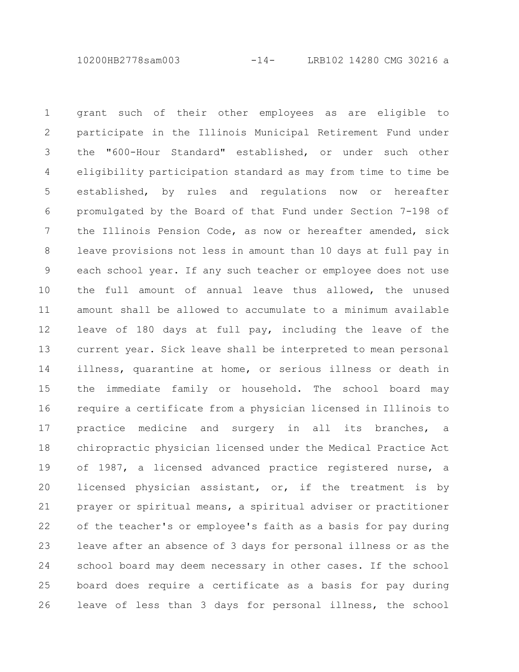10200HB2778sam003 -14- LRB102 14280 CMG 30216 a

grant such of their other employees as are eligible to participate in the Illinois Municipal Retirement Fund under the "600-Hour Standard" established, or under such other eligibility participation standard as may from time to time be established, by rules and regulations now or hereafter promulgated by the Board of that Fund under Section 7-198 of the Illinois Pension Code, as now or hereafter amended, sick leave provisions not less in amount than 10 days at full pay in each school year. If any such teacher or employee does not use the full amount of annual leave thus allowed, the unused amount shall be allowed to accumulate to a minimum available leave of 180 days at full pay, including the leave of the current year. Sick leave shall be interpreted to mean personal illness, quarantine at home, or serious illness or death in the immediate family or household. The school board may require a certificate from a physician licensed in Illinois to practice medicine and surgery in all its branches, a chiropractic physician licensed under the Medical Practice Act of 1987, a licensed advanced practice registered nurse, a licensed physician assistant, or, if the treatment is by prayer or spiritual means, a spiritual adviser or practitioner of the teacher's or employee's faith as a basis for pay during leave after an absence of 3 days for personal illness or as the school board may deem necessary in other cases. If the school board does require a certificate as a basis for pay during leave of less than 3 days for personal illness, the school 1 2 3 4 5 6 7 8 9 10 11 12 13 14 15 16 17 18 19 20 21 22 23 24 25 26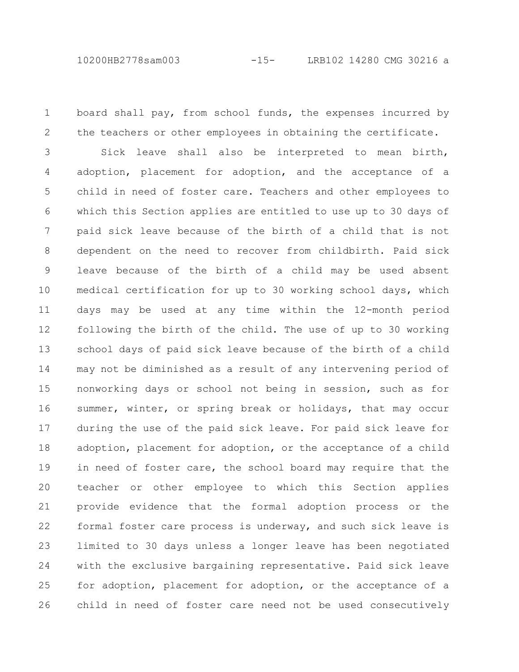10200HB2778sam003 -15- LRB102 14280 CMG 30216 a

board shall pay, from school funds, the expenses incurred by

1

the teachers or other employees in obtaining the certificate. Sick leave shall also be interpreted to mean birth, adoption, placement for adoption, and the acceptance of a child in need of foster care. Teachers and other employees to which this Section applies are entitled to use up to 30 days of paid sick leave because of the birth of a child that is not dependent on the need to recover from childbirth. Paid sick leave because of the birth of a child may be used absent medical certification for up to 30 working school days, which days may be used at any time within the 12-month period following the birth of the child. The use of up to 30 working school days of paid sick leave because of the birth of a child may not be diminished as a result of any intervening period of nonworking days or school not being in session, such as for summer, winter, or spring break or holidays, that may occur during the use of the paid sick leave. For paid sick leave for adoption, placement for adoption, or the acceptance of a child in need of foster care, the school board may require that the teacher or other employee to which this Section applies provide evidence that the formal adoption process or the formal foster care process is underway, and such sick leave is limited to 30 days unless a longer leave has been negotiated with the exclusive bargaining representative. Paid sick leave for adoption, placement for adoption, or the acceptance of a child in need of foster care need not be used consecutively 2 3 4 5 6 7 8 9 10 11 12 13 14 15 16 17 18 19 20 21 22 23 24 25 26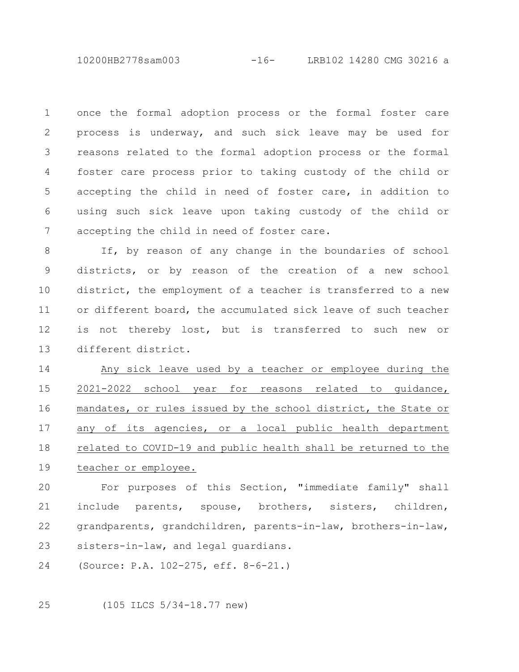10200HB2778sam003 -16- LRB102 14280 CMG 30216 a

once the formal adoption process or the formal foster care process is underway, and such sick leave may be used for reasons related to the formal adoption process or the formal foster care process prior to taking custody of the child or accepting the child in need of foster care, in addition to using such sick leave upon taking custody of the child or accepting the child in need of foster care. 1 2 3 4 5 6 7

If, by reason of any change in the boundaries of school districts, or by reason of the creation of a new school district, the employment of a teacher is transferred to a new or different board, the accumulated sick leave of such teacher is not thereby lost, but is transferred to such new or different district. 8 9 10 11 12 13

Any sick leave used by a teacher or employee during the 2021-2022 school year for reasons related to guidance, mandates, or rules issued by the school district, the State or any of its agencies, or a local public health department related to COVID-19 and public health shall be returned to the teacher or employee. 14 15 16 17 18 19

For purposes of this Section, "immediate family" shall include parents, spouse, brothers, sisters, children, grandparents, grandchildren, parents-in-law, brothers-in-law, sisters-in-law, and legal guardians. 20 21 22 23

(Source: P.A. 102-275, eff. 8-6-21.) 24

(105 ILCS 5/34-18.77 new) 25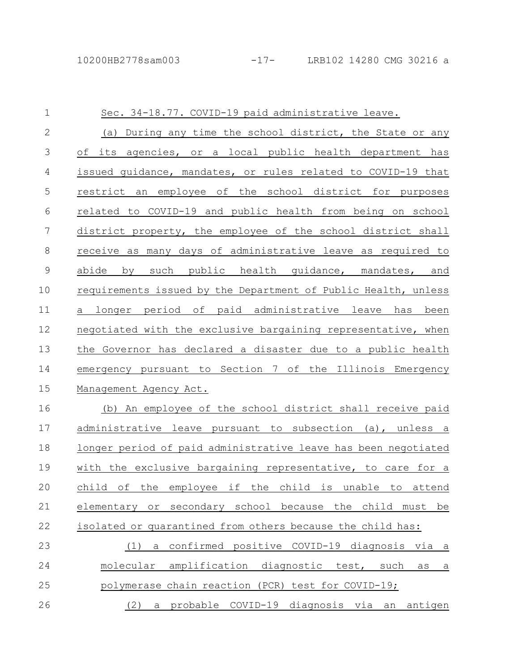| 1            | Sec. 34-18.77. COVID-19 paid administrative leave.                  |
|--------------|---------------------------------------------------------------------|
| $\mathbf{2}$ | (a) During any time the school district, the State or any           |
| 3            | its agencies, or a local public health department has<br>of         |
| 4            | issued quidance, mandates, or rules related to COVID-19 that        |
| 5            | restrict an employee of the school district for purposes            |
| 6            | related to COVID-19 and public health from being on school          |
| 7            | district property, the employee of the school district shall        |
| 8            | receive as many days of administrative leave as required to         |
| $\mathsf 9$  | such public health guidance, mandates, and<br>abide<br>by           |
| 10           | requirements issued by the Department of Public Health, unless      |
| 11           | longer period of paid administrative leave has<br>been<br>а         |
| 12           | negotiated with the exclusive bargaining representative, when       |
| 13           | the Governor has declared a disaster due to a public health         |
| 14           | emergency pursuant to Section 7 of the Illinois Emergency           |
| 15           | Management Agency Act.                                              |
| 16           | (b) An employee of the school district shall receive paid           |
| 17           | administrative leave pursuant to subsection (a), unless a           |
| 18           | longer period of paid administrative leave has been negotiated      |
| 19           | with the exclusive bargaining representative, to care for a         |
| 20           | child of the employee if the child is unable to attend              |
| 21           | elementary or secondary school because the child must be            |
| 22           | isolated or quarantined from others because the child has:          |
| 23           | a confirmed positive COVID-19 diagnosis via a<br>(1)                |
| 24           | molecular amplification diagnostic test, such as<br>$\underline{a}$ |
| 25           | polymerase chain reaction (PCR) test for COVID-19;                  |
| 26           | a probable COVID-19 diagnosis via an<br>antigen<br>(2)              |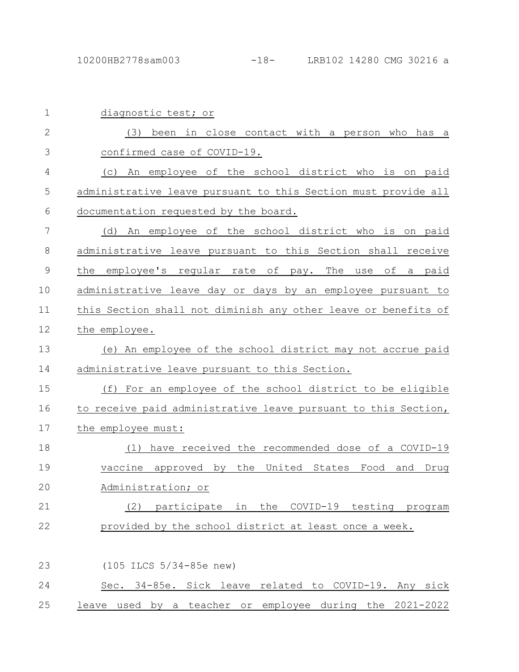| $\mathbf{2}$ | been in close contact with a person who has<br>(3)<br>- a                                       |
|--------------|-------------------------------------------------------------------------------------------------|
| 3            | confirmed case of COVID-19.                                                                     |
| 4            | An employee of the school district who is on paid<br>(C)                                        |
| 5            | administrative leave pursuant to this Section must provide all                                  |
| 6            | documentation requested by the board.                                                           |
| 7            | An employee of the school district who is on paid<br>(d)                                        |
| 8            | administrative leave pursuant to this Section shall receive                                     |
| $\mathsf 9$  | the<br>employee's regular rate of pay. The use<br>of a paid                                     |
| 10           | administrative leave day or days by an employee pursuant to                                     |
| 11           | this Section shall not diminish any other leave or benefits of                                  |
| 12           | the employee.                                                                                   |
| 13           | (e) An employee of the school district may not accrue paid                                      |
| 14           | administrative leave pursuant to this Section.                                                  |
| 15           | (f)<br>For an employee of the school district to be eligible                                    |
| 16           | to receive paid administrative leave pursuant to this Section,                                  |
| 17           | the employee must:                                                                              |
| 18           | have received the recommended dose of a COVID-19<br>(1)                                         |
| 19           | vaccine approved by the United States Food<br>and<br>Drug                                       |
| 20           | Administration; or                                                                              |
| 21           | COVID-19 testing<br>$\sim$ $\sim$ $\sim$ $\sim$<br>participate<br>the<br>in<br>program<br>$Z$ ) |
| 22           | provided by the school district at least once a week.                                           |
|              |                                                                                                 |
| 23           | $(105$ ILCS $5/34-85e$ new)                                                                     |
| 24           | Sec. 34-85e. Sick leave related to COVID-19. Any sick                                           |

25 leave used by a teacher or employee during the 2021-2022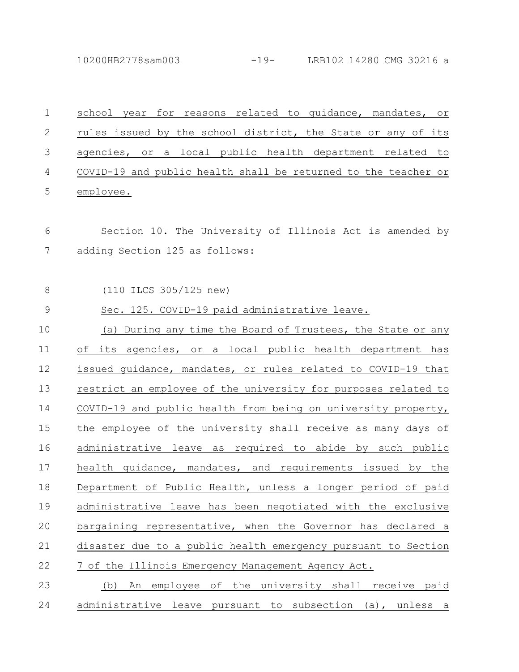10200HB2778sam003 -19- LRB102 14280 CMG 30216 a

| $\mathbf 1$   | reasons related to guidance, mandates, or<br>school year<br>for |
|---------------|-----------------------------------------------------------------|
| $\mathbf{2}$  | rules issued by the school district, the State or any of its    |
| $\mathcal{S}$ | agencies, or a local public health department related to        |
| 4             | COVID-19 and public health shall be returned to the teacher or  |
| 5             | employee.                                                       |
| 6             | Section 10. The University of Illinois Act is amended by        |
| 7             | adding Section 125 as follows:                                  |
| $\,8\,$       | (110 ILCS 305/125 new)                                          |
| $\mathsf 9$   | Sec. 125. COVID-19 paid administrative leave.                   |
| 10            | (a) During any time the Board of Trustees, the State or any     |
| 11            | its agencies, or a local public health department has<br>of     |
| 12            | issued guidance, mandates, or rules related to COVID-19 that    |
| 13            | restrict an employee of the university for purposes related to  |
| 14            | COVID-19 and public health from being on university property,   |
| 15            | the employee of the university shall receive as many days of    |
| 16            | administrative leave as required to abide by such public        |
| 17            | health quidance, mandates, and requirements issued by the       |
| 18            | Department of Public Health, unless a longer period of paid     |
| 19            | administrative leave has been negotiated with the exclusive     |
| 20            | bargaining representative, when the Governor has declared a     |
| 21            | disaster due to a public health emergency pursuant to Section   |
| 22            | 7 of the Illinois Emergency Management Agency Act.              |
| 23            | An employee of the university shall receive paid<br>(b)         |
| 24            | administrative leave pursuant to subsection (a), unless a       |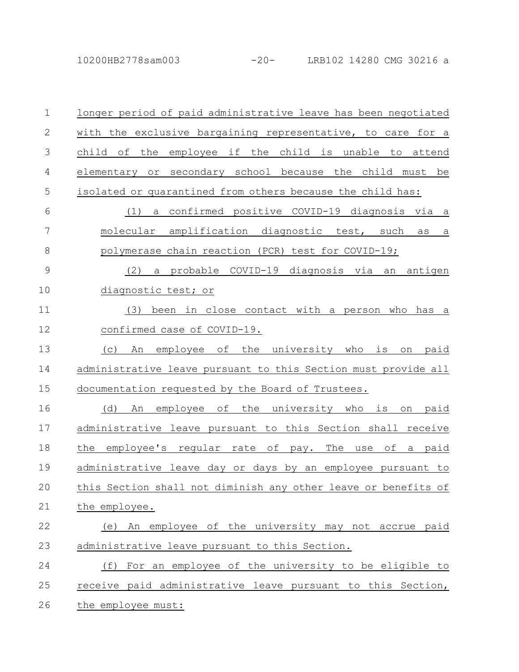10200HB2778sam003 -20- LRB102 14280 CMG 30216 a

| 1             | longer period of paid administrative leave has been negotiated              |
|---------------|-----------------------------------------------------------------------------|
| $\mathbf{2}$  | with the exclusive bargaining representative, to care for a                 |
| 3             | employee if the child is unable<br>child<br>of<br>the<br>attend<br>to       |
| 4             | secondary school because the child must be<br>elementary<br>or              |
| 5             | isolated or quarantined from others because the child has:                  |
| 6             | confirmed positive COVID-19 diagnosis via a<br>(1)<br>a                     |
| 7             | molecular amplification diagnostic test, such<br>as<br>$\underline{a}$      |
| $\,8\,$       | polymerase chain reaction (PCR) test for COVID-19;                          |
| $\mathcal{G}$ | a probable COVID-19 diagnosis via an antigen<br>(2)                         |
| 10            | diagnostic test; or                                                         |
| 11            | been in close contact with a person who has a<br>(3)                        |
| 12            | confirmed case of COVID-19.                                                 |
| 13            | оf<br>the<br>university<br>who<br>is<br>(C)<br>An<br>employee<br>paid<br>on |
| 14            | administrative leave pursuant to this Section must provide all              |
| 15            | documentation requested by the Board of Trustees.                           |
| 16            | the university who<br>(d)<br>employee of<br>is<br>paid<br>An<br>on          |
| 17            | administrative leave pursuant to this Section shall receive                 |
| 18            | the<br>employee's reqular rate of pay. The use<br>of a paid                 |
| 19            | administrative leave day or days by an employee pursuant to                 |
| 20            | this Section shall not diminish any other leave or benefits of              |
| 21            | the employee.                                                               |
| 22            | An employee of the university may not accrue paid<br>(e)                    |
| 23            | administrative leave pursuant to this Section.                              |
| 24            | (f) For an employee of the university to be eligible to                     |
| 25            | receive paid administrative leave pursuant to this Section,                 |
| 26            | the employee must:                                                          |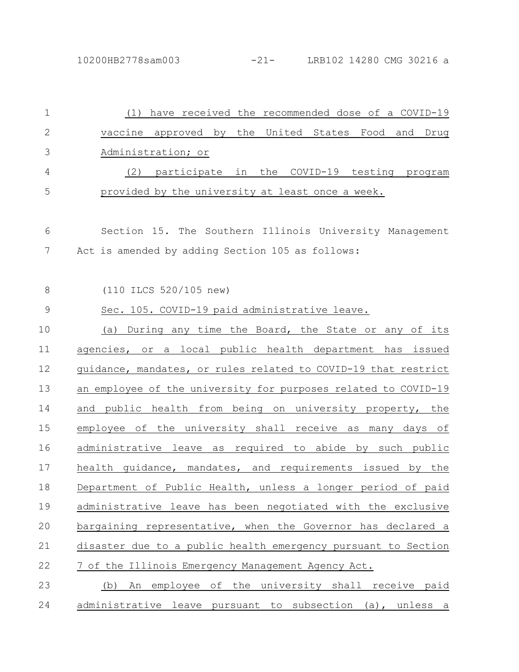| 1            | (1) have received the recommended dose of a COVID-19           |
|--------------|----------------------------------------------------------------|
| $\mathbf{2}$ | vaccine approved by the United States Food and Drug            |
| 3            | Administration; or                                             |
| 4            | (2) participate in the COVID-19 testing program                |
| 5            | provided by the university at least once a week.               |
| 6            | Section 15. The Southern Illinois University Management        |
| 7            | Act is amended by adding Section 105 as follows:               |
| 8            | (110 ILCS 520/105 new)                                         |
| $\mathsf 9$  | Sec. 105. COVID-19 paid administrative leave.                  |
| 10           | (a) During any time the Board, the State or any of its         |
| 11           | agencies, or a local public health department has issued       |
| 12           | guidance, mandates, or rules related to COVID-19 that restrict |
| 13           | an employee of the university for purposes related to COVID-19 |
| 14           | and public health from being on university property, the       |
| 15           | employee of the university shall receive as many days of       |
| 16           | administrative leave as required to abide by such public       |
| 17           | health quidance, mandates, and requirements issued by the      |
| 18           | Department of Public Health, unless a longer period of paid    |
| 19           | administrative leave has been negotiated with the exclusive    |
| 20           | bargaining representative, when the Governor has declared a    |
| 21           | disaster due to a public health emergency pursuant to Section  |
| 22           | 7 of the Illinois Emergency Management Agency Act.             |
| 23           | An employee of the university shall receive paid<br>(b)        |
| 24           | administrative leave pursuant to subsection (a), unless a      |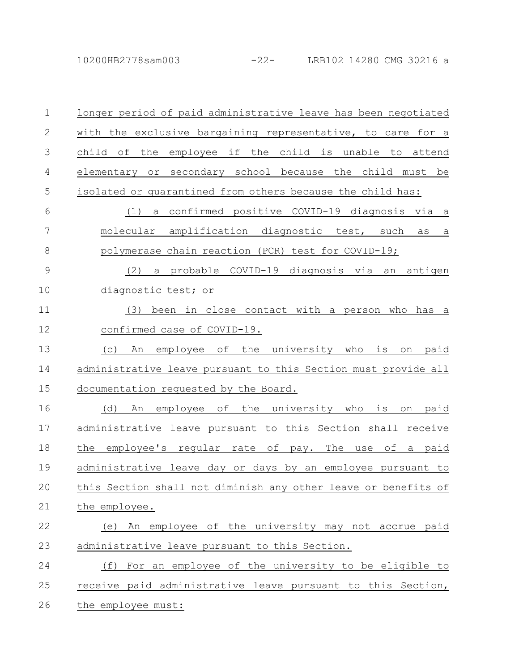10200HB2778sam003 -22- LRB102 14280 CMG 30216 a

| $\mathbf 1$  | longer period of paid administrative leave has been negotiated            |
|--------------|---------------------------------------------------------------------------|
| $\mathbf{2}$ | with the exclusive bargaining representative, to care for a               |
| 3            | if the child is unable to<br>child<br>employee<br>оf<br>the<br>attend     |
| 4            | secondary school because the child must be<br>elementary or               |
| 5            | isolated or quarantined from others because the child has:                |
| 6            | confirmed positive COVID-19 diagnosis via a<br>(1)<br>a                   |
| 7            | amplification diagnostic test, such<br>molecular<br>as<br>$\underline{a}$ |
| 8            | polymerase chain reaction (PCR) test for COVID-19;                        |
| 9            | a probable COVID-19 diagnosis via an antigen<br>(2)                       |
| 10           | diagnostic test; or                                                       |
| 11           | been in close contact with a person who<br>(3)<br>has a                   |
| 12           | confirmed case of COVID-19.                                               |
| 13           | employee of<br>the<br>university who<br>is<br>(C)<br>An<br>paid<br>on     |
| 14           | administrative leave pursuant to this Section must provide all            |
| 15           | documentation requested by the Board.                                     |
| 16           | employee of<br>the university<br>(d)<br>who<br>is<br>paid<br>An<br>on     |
| 17           | administrative leave pursuant to this Section shall receive               |
| 18           | employee's regular rate of pay.<br>the<br>The<br>оf<br>paid<br>use<br>a   |
| 19           | administrative leave day or days by an employee pursuant to               |
| 20           | this Section shall not diminish any other leave or benefits of            |
| 21           | the employee.                                                             |
| 22           | (e) An employee of the university may not accrue paid                     |
| 23           | administrative leave pursuant to this Section.                            |
| 24           | (f) For an employee of the university to be eligible to                   |
| 25           | receive paid administrative leave pursuant to this Section,               |
| 26           | the employee must:                                                        |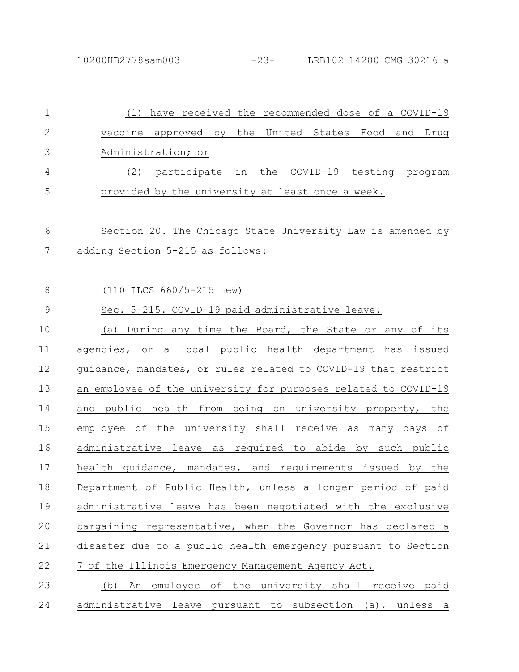| 1            | (1) have received the recommended dose of a COVID-19           |
|--------------|----------------------------------------------------------------|
| $\mathbf{2}$ | vaccine approved by the United States Food and Drug            |
| 3            | Administration; or                                             |
| 4            | (2) participate in the COVID-19 testing program                |
| 5            | provided by the university at least once a week.               |
| 6            | Section 20. The Chicago State University Law is amended by     |
| 7            | adding Section 5-215 as follows:                               |
| 8            | (110 ILCS 660/5-215 new)                                       |
| $\mathsf 9$  | Sec. 5-215. COVID-19 paid administrative leave.                |
| 10           | (a) During any time the Board, the State or any of its         |
| 11           | agencies, or a local public health department has issued       |
| 12           | guidance, mandates, or rules related to COVID-19 that restrict |
| 13           | an employee of the university for purposes related to COVID-19 |
| 14           | and public health from being on university property, the       |
| 15           | employee of the university shall receive as many days of       |
| 16           | administrative leave as required to abide by such public       |
| 17           | health quidance, mandates, and requirements issued by the      |
| 18           | Department of Public Health, unless a longer period of paid    |
| 19           | administrative leave has been negotiated with the exclusive    |
| 20           | bargaining representative, when the Governor has declared a    |
| 21           | disaster due to a public health emergency pursuant to Section  |
| 22           | 7 of the Illinois Emergency Management Agency Act.             |
| 23           | An employee of the university shall receive paid<br>(b)        |
| 24           | administrative leave pursuant to subsection (a), unless a      |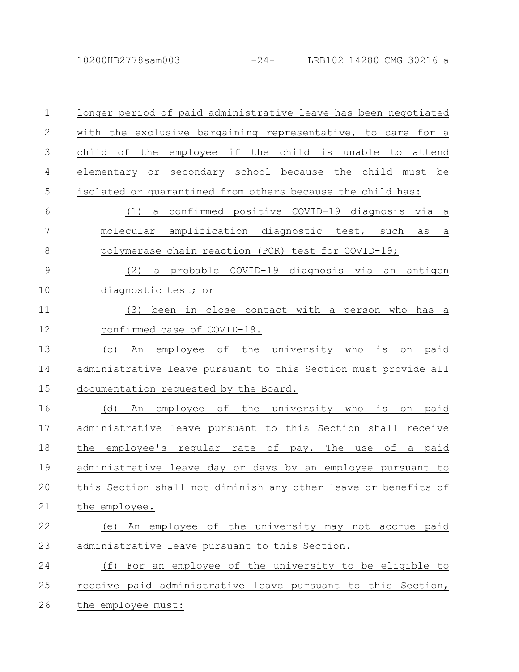10200HB2778sam003 -24- LRB102 14280 CMG 30216 a

| $\mathbf 1$   | longer period of paid administrative leave has been negotiated            |
|---------------|---------------------------------------------------------------------------|
| $\mathbf{2}$  | with the exclusive bargaining representative, to care for a               |
| 3             | employee if the child is unable to<br>the<br>child of<br>attend           |
| 4             | elementary or secondary school because the child must be                  |
| 5             | isolated or quarantined from others because the child has:                |
| 6             | a confirmed positive COVID-19 diagnosis via a<br>(1)                      |
| 7             | amplification diagnostic test, such<br>molecular<br>as<br>$\underline{a}$ |
| 8             | polymerase chain reaction (PCR) test for COVID-19;                        |
| $\mathcal{G}$ | a probable COVID-19 diagnosis via an<br>(2)<br>antigen                    |
| 10            | diagnostic test; or                                                       |
| 11            | been in close contact with a person who<br>(3)<br>has a                   |
| 12            | confirmed case of COVID-19.                                               |
| 13            | employee of the university who<br>(C)<br>An<br>is<br>paid<br>on           |
| 14            | administrative leave pursuant to this Section must provide all            |
| 15            | documentation requested by the Board.                                     |
| 16            | employee of the university who<br>(d)<br>is<br>paid<br>An<br>on           |
| 17            | administrative leave pursuant to this Section shall receive               |
| 18            | the<br>employee's regular rate of<br>The<br>of a<br>paid<br>pay.<br>use   |
| 19            | administrative leave day or days by an employee pursuant to               |
| 20            | this Section shall not diminish any other leave or benefits of            |
| 21            | the employee.                                                             |
| 22            | (e) An employee of the university may not accrue paid                     |
| 23            | administrative leave pursuant to this Section.                            |
| 24            | For an employee of the university to be eligible to<br>(f)                |
| 25            | receive paid administrative leave pursuant to this Section,               |
| 26            | the employee must:                                                        |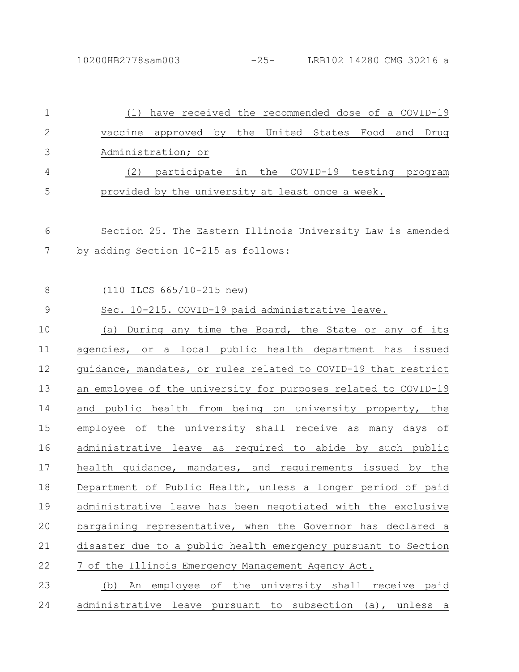| $\mathbf 1$   | (1) have received the recommended dose of a COVID-19           |
|---------------|----------------------------------------------------------------|
| 2             | vaccine approved by the United States Food and Drug            |
| 3             | Administration; or                                             |
| 4             | participate in the COVID-19 testing program<br>(2)             |
| 5             | provided by the university at least once a week.               |
| 6             | Section 25. The Eastern Illinois University Law is amended     |
| 7             | by adding Section 10-215 as follows:                           |
| 8             | (110 ILCS 665/10-215 new)                                      |
| $\mathcal{G}$ | Sec. 10-215. COVID-19 paid administrative leave.               |
| 10            | (a) During any time the Board, the State or any of its         |
| 11            | agencies, or a local public health department has issued       |
| 12            | guidance, mandates, or rules related to COVID-19 that restrict |
| 13            | an employee of the university for purposes related to COVID-19 |
| 14            | and public health from being on university property, the       |
| 15            | employee of the university shall receive as many days of       |
| 16            | administrative leave as required to abide by such public       |
| 17            | health quidance, mandates, and requirements issued by the      |
| 18            | Department of Public Health, unless a longer period of paid    |
| 19            | administrative leave has been negotiated with the exclusive    |
| 20            | bargaining representative, when the Governor has declared a    |
| 21            | disaster due to a public health emergency pursuant to Section  |
| 22            | 7 of the Illinois Emergency Management Agency Act.             |
| 23            | An employee of the university shall receive paid<br>(b)        |
| 24            | administrative leave pursuant to subsection (a), unless a      |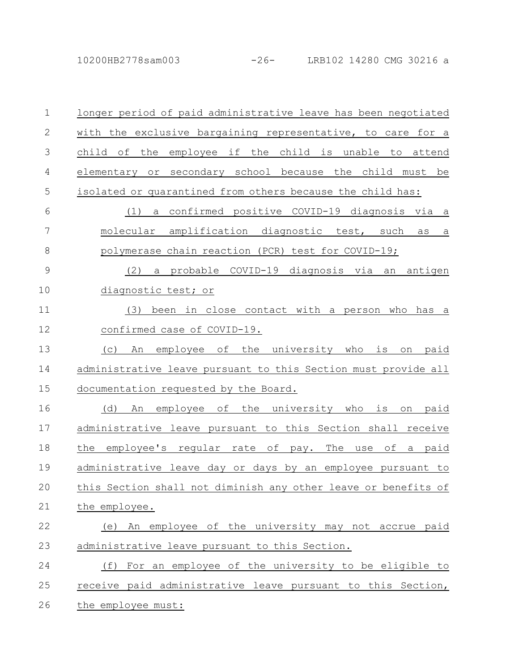10200HB2778sam003 -26- LRB102 14280 CMG 30216 a

| $\mathbf 1$   | longer period of paid administrative leave has been negotiated                |
|---------------|-------------------------------------------------------------------------------|
| $\mathbf{2}$  | with the exclusive bargaining representative, to care for a                   |
| 3             | employee if the<br>child is unable<br>child of<br>the<br>to<br>attend         |
| 4             | secondary school because the child must be<br>elementary<br>$\circ$ r         |
| 5             | isolated or quarantined from others because the child has:                    |
| 6             | a confirmed positive COVID-19 diagnosis via a<br>(1)                          |
| 7             | amplification diagnostic test, such<br>molecular<br>as<br>а                   |
| 8             | polymerase chain reaction (PCR) test for COVID-19;                            |
| $\mathcal{G}$ | a probable COVID-19 diagnosis via an<br>(2)<br>antigen                        |
| 10            | diagnostic test; or                                                           |
| 11            | in close contact with a person who<br>(3)<br>been<br>has<br>а                 |
| 12            | confirmed case of COVID-19.                                                   |
| 13            | the university who<br>employee of<br>is<br>(C)<br>An<br>paid<br>on            |
| 14            | administrative leave pursuant to this Section must provide all                |
| 15            | documentation requested by the Board.                                         |
| 16            | the university who<br>employee of<br>is<br>(d)<br>paid<br>An<br>on            |
| 17            | administrative leave pursuant to this Section shall receive                   |
| 18            | the<br>employee's regular rate<br>оf<br>The<br>оf<br>paid<br>pay.<br>use<br>a |
| 19            | administrative leave day or days by an employee pursuant to                   |
| 20            | this Section shall not diminish any other leave or benefits of                |
| 21            | the employee.                                                                 |
| 22            | (e) An employee of the university may not accrue paid                         |
| 23            | administrative leave pursuant to this Section.                                |
| 24            | For an employee of the university to be eligible to<br>(f)                    |
| 25            | receive paid administrative leave pursuant to this Section,                   |
| 26            | the employee must:                                                            |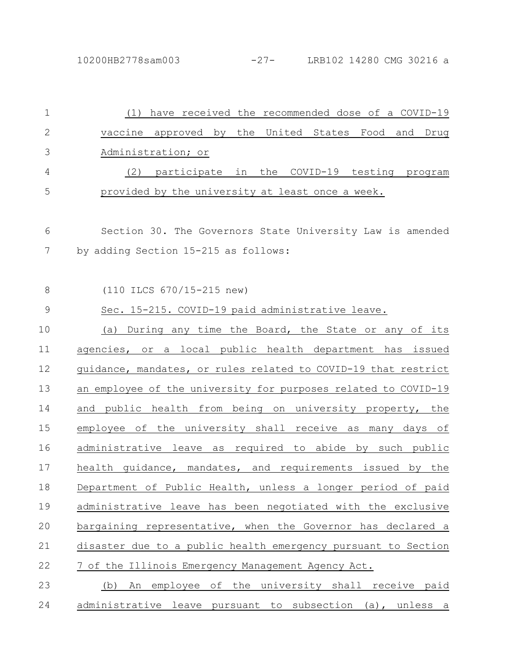| $\mathbf 1$     | (1) have received the recommended dose of a COVID-19           |
|-----------------|----------------------------------------------------------------|
| 2               | vaccine approved by the United States Food and Drug            |
| 3               | Administration; or                                             |
| 4               | participate in the COVID-19 testing program<br>(2)             |
| 5               | provided by the university at least once a week.               |
| 6               | Section 30. The Governors State University Law is amended      |
| $7\phantom{.0}$ | by adding Section 15-215 as follows:                           |
| 8               | (110 ILCS 670/15-215 new)                                      |
| $\mathsf 9$     | Sec. 15-215. COVID-19 paid administrative leave.               |
| 10              | (a) During any time the Board, the State or any of its         |
| 11              | agencies, or a local public health department has issued       |
| 12              | guidance, mandates, or rules related to COVID-19 that restrict |
| 13              | an employee of the university for purposes related to COVID-19 |
| 14              | and public health from being on university property, the       |
| 15              | employee of the university shall receive as many days of       |
| 16              | administrative leave as required to abide by such public       |
| 17              | health quidance, mandates, and requirements issued by the      |
| 18              | Department of Public Health, unless a longer period of paid    |
| 19              | administrative leave has been negotiated with the exclusive    |
| 20              | bargaining representative, when the Governor has declared a    |
| 21              | disaster due to a public health emergency pursuant to Section  |
| 22              | 7 of the Illinois Emergency Management Agency Act.             |
| 23              | An employee of the university shall receive paid<br>(b)        |
| 24              | administrative leave pursuant to subsection (a), unless a      |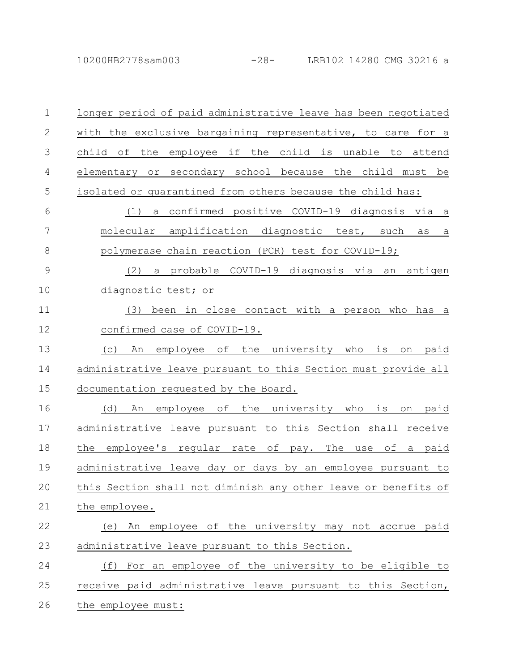10200HB2778sam003 -28- LRB102 14280 CMG 30216 a

| $\mathbf 1$  | longer period of paid administrative leave has been negotiated              |
|--------------|-----------------------------------------------------------------------------|
| $\mathbf{2}$ | with the exclusive bargaining representative, to care for a                 |
| 3            | employee if the child is unable to<br>child of<br>the<br>attend             |
| 4            | or secondary school because the child must<br>elementary<br>be              |
| 5            | isolated or quarantined from others because the child has:                  |
| 6            | a confirmed positive COVID-19 diagnosis via<br>(1)<br>$\overline{a}$        |
| 7            | amplification diagnostic test, such<br>molecular<br>as<br>$\underline{a}$   |
| 8            | polymerase chain reaction (PCR) test for COVID-19;                          |
| 9            | a probable COVID-19 diagnosis via<br>antigen<br>(2)<br>an                   |
| 10           | diagnostic test; or                                                         |
| 11           | (3)<br>been in close contact with a person<br>who<br>has a                  |
| 12           | confirmed case of COVID-19.                                                 |
| 13           | employee<br>оf<br>the<br>university<br>who<br>is<br>(C)<br>An<br>paid<br>on |
| 14           | administrative leave pursuant to this Section must provide all              |
| 15           | documentation requested by the Board.                                       |
| 16           | employee of the university who<br>(d)<br>is<br>paid<br>An<br>on             |
| 17           | administrative leave pursuant to this Section shall receive                 |
| 18           | employee's reqular rate of pay.<br>the<br>The<br>of<br>paid<br>use<br>а     |
| 19           | administrative leave day or days by an employee pursuant to                 |
| 20           | this Section shall not diminish any other leave or benefits of              |
| 21           | the employee.                                                               |
| 22           | (e) An employee of the university may not accrue paid                       |
| 23           | administrative leave pursuant to this Section.                              |
| 24           | (f) For an employee of the university to be eligible to                     |
| 25           | receive paid administrative leave pursuant to this Section,                 |
| 26           | the employee must:                                                          |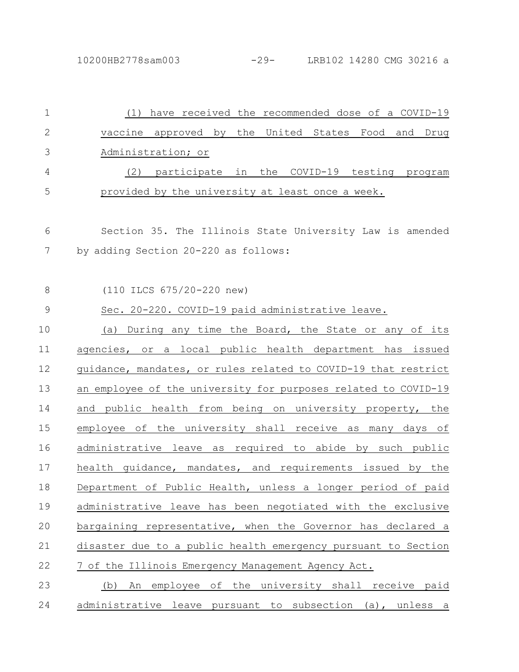| $\mathbf 1$ | (1) have received the recommended dose of a COVID-19           |
|-------------|----------------------------------------------------------------|
| 2           | vaccine approved by the United States Food and Drug            |
| 3           | Administration; or                                             |
| 4           | (2) participate in the COVID-19 testing program                |
| 5           | provided by the university at least once a week.               |
| 6           | Section 35. The Illinois State University Law is amended       |
| 7           | by adding Section 20-220 as follows:                           |
| 8           | (110 ILCS 675/20-220 new)                                      |
| $\mathsf 9$ | Sec. 20-220. COVID-19 paid administrative leave.               |
| 10          | (a) During any time the Board, the State or any of its         |
| 11          | agencies, or a local public health department has issued       |
| 12          | guidance, mandates, or rules related to COVID-19 that restrict |
| 13          | an employee of the university for purposes related to COVID-19 |
| 14          | and public health from being on university property, the       |
| 15          | employee of the university shall receive as many days of       |
| 16          | administrative leave as required to abide by such public       |
| 17          | health quidance, mandates, and requirements issued by the      |
| 18          | Department of Public Health, unless a longer period of paid    |
| 19          | administrative leave has been negotiated with the exclusive    |
| 20          | bargaining representative, when the Governor has declared a    |
| 21          | disaster due to a public health emergency pursuant to Section  |
| 22          | 7 of the Illinois Emergency Management Agency Act.             |
| 23          | An employee of the university shall receive paid<br>(b)        |
| 24          | administrative leave pursuant to subsection (a), unless a      |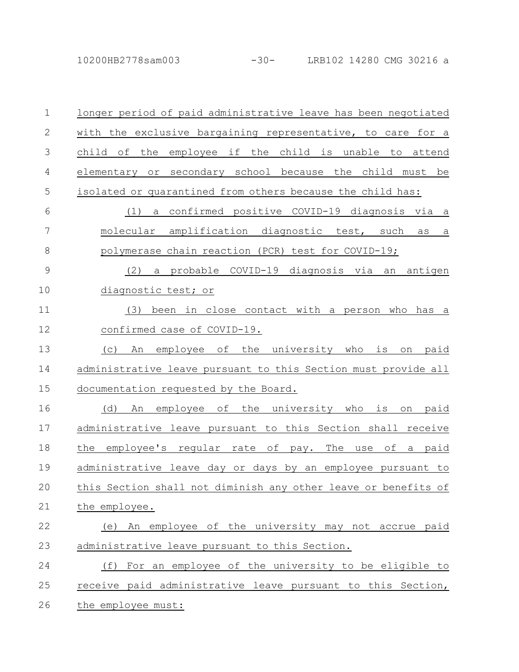10200HB2778sam003 -30- LRB102 14280 CMG 30216 a

| $\mathbf 1$  | longer period of paid administrative leave has been negotiated              |
|--------------|-----------------------------------------------------------------------------|
| $\mathbf{2}$ | with the exclusive bargaining representative, to care for a                 |
| 3            | child is unable<br>child of<br>the<br>employee<br>if the<br>to<br>attend    |
| 4            | secondary school because the child must<br>elementary<br>be<br>or           |
| 5            | isolated or quarantined from others because the child has:                  |
| 6            | confirmed positive COVID-19 diagnosis via<br>(1)<br>a<br>a                  |
| 7            | amplification diagnostic test, such<br>molecular<br>as<br>$\underline{a}$   |
| $\,8\,$      | polymerase chain reaction (PCR) test for COVID-19;                          |
| 9            | a probable COVID-19 diagnosis via an antigen<br>(2)                         |
| 10           | diagnostic test; or                                                         |
| 11           | been in close contact with a person<br>(3)<br>who<br>has a                  |
| 12           | confirmed case of COVID-19.                                                 |
| 13           | оf<br>the<br>university<br>who<br>is<br>(C)<br>An<br>employee<br>paid<br>on |
| 14           | administrative leave pursuant to this Section must provide all              |
| 15           | documentation requested by the Board.                                       |
| 16           | employee of<br>the university who<br>(d)<br>is<br>paid<br>An<br>on          |
| 17           | administrative leave pursuant to this Section shall receive                 |
| 18           | the<br>employee's regular rate of pay. The<br>of a paid<br>use              |
| 19           | administrative leave day or days by an employee pursuant to                 |
| 20           | this Section shall not diminish any other leave or benefits of              |
| 21           | the employee.                                                               |
| 22           | An employee of the university may not accrue paid<br>(e)                    |
| 23           | administrative leave pursuant to this Section.                              |
| 24           | (f) For an employee of the university to be eligible to                     |
| 25           | receive paid administrative leave pursuant to this Section,                 |
| 26           | the employee must:                                                          |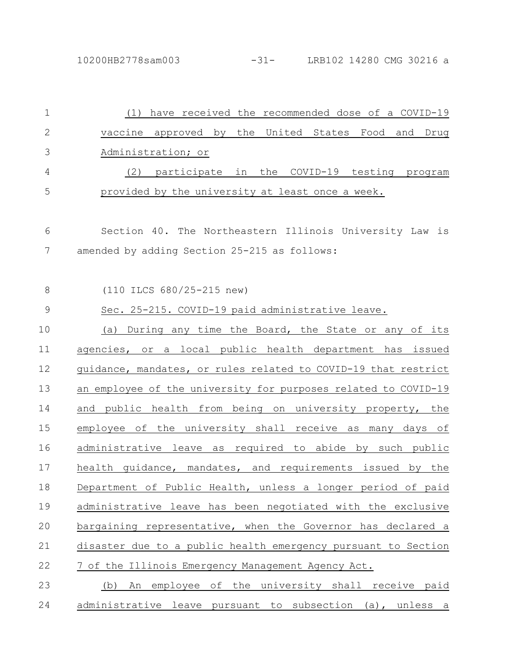| $\mathbf 1$   | (1) have received the recommended dose of a COVID-19           |
|---------------|----------------------------------------------------------------|
| $\mathbf{2}$  | vaccine approved by the United States Food<br>and Drug         |
| 3             | Administration; or                                             |
| 4             | (2) participate in the COVID-19 testing program                |
| 5             | provided by the university at least once a week.               |
| 6             | Section 40. The Northeastern Illinois University Law is        |
| 7             | amended by adding Section 25-215 as follows:                   |
| 8             | (110 ILCS 680/25-215 new)                                      |
| $\mathcal{G}$ | Sec. 25-215. COVID-19 paid administrative leave.               |
| 10            | (a) During any time the Board, the State or any of its         |
| 11            | agencies, or a local public health department has issued       |
| 12            | guidance, mandates, or rules related to COVID-19 that restrict |
| 13            | an employee of the university for purposes related to COVID-19 |
| 14            | and public health from being on university property, the       |
| 15            | employee of the university shall receive as many days of       |
| 16            | administrative leave as required to abide by such public       |
| 17            | health quidance, mandates, and requirements issued by the      |
| 18            | Department of Public Health, unless a longer period of paid    |
| 19            | administrative leave has been negotiated with the exclusive    |
| 20            | bargaining representative, when the Governor has declared a    |
| 21            | disaster due to a public health emergency pursuant to Section  |
| 22            | 7 of the Illinois Emergency Management Agency Act.             |
| 23            | (b) An employee of the university shall receive paid           |
| 24            | administrative leave pursuant to subsection (a), unless a      |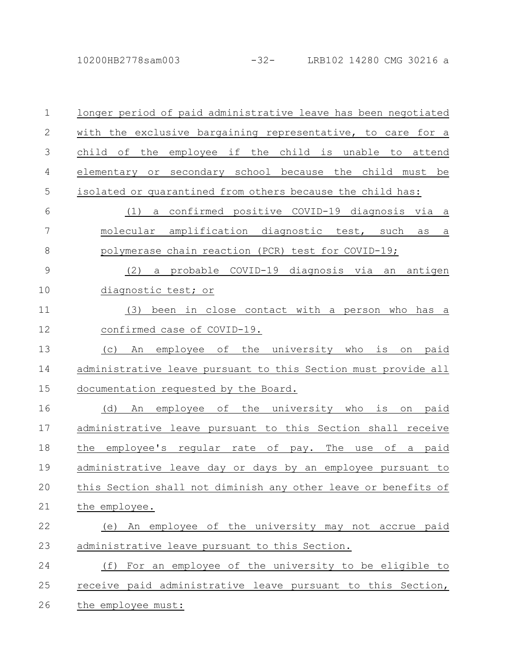10200HB2778sam003 -32- LRB102 14280 CMG 30216 a

| $\mathbf{1}$ | longer period of paid administrative leave has been negotiated      |
|--------------|---------------------------------------------------------------------|
| $\mathbf{2}$ | with the exclusive bargaining representative, to care for a         |
| 3            | employee if the child is unable to attend<br>child of<br>the        |
| 4            | or secondary school because the child must be<br>elementary         |
| 5            | isolated or quarantined from others because the child has:          |
| 6            | a confirmed positive COVID-19 diagnosis via a<br>(1)                |
| 7            | molecular amplification diagnostic test, such as<br>$\underline{a}$ |
| 8            | polymerase chain reaction (PCR) test for COVID-19;                  |
| 9            | a probable COVID-19 diagnosis via an antigen<br>(2)                 |
| 10           | diagnostic test; or                                                 |
| 11           | been in close contact with a person who<br>(3)<br>has a             |
| 12           | confirmed case of COVID-19.                                         |
| 13           | the university who<br>employee of<br>(C)<br>An<br>is<br>paid<br>on  |
| 14           | administrative leave pursuant to this Section must provide all      |
| 15           | documentation requested by the Board.                               |
| 16           | An employee of the university who<br>(d)<br>is<br>paid<br>on        |
| 17           | administrative leave pursuant to this Section shall receive         |
| 18           | the<br>employee's regular rate of pay. The<br>of a paid<br>use      |
| 19           | administrative leave day or days by an employee pursuant to         |
| 20           | this Section shall not diminish any other leave or benefits of      |
| 21           | the employee.                                                       |
| 22           | (e) An employee of the university may not accrue paid               |
| 23           | administrative leave pursuant to this Section.                      |
| 24           | For an employee of the university to be eligible to<br>(f)          |
| 25           | receive paid administrative leave pursuant to this Section,         |
| 26           | the employee must:                                                  |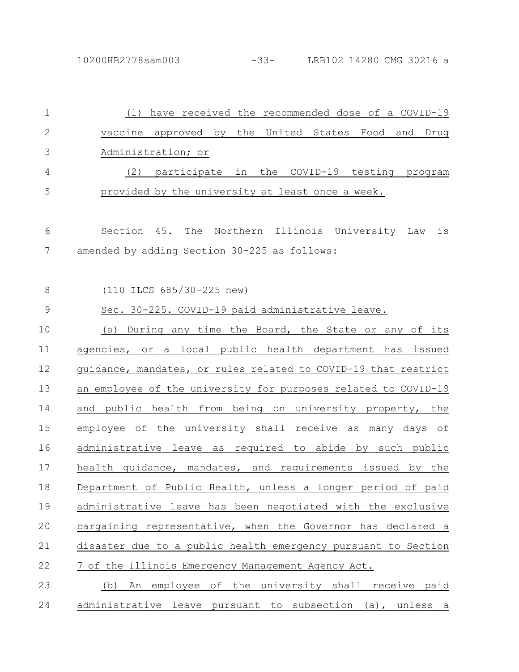10200HB2778sam003 -33- LRB102 14280 CMG 30216 a

| $\mathbf{1}$  | have received the recommended dose of a COVID-19<br>(1)        |
|---------------|----------------------------------------------------------------|
| $\mathbf{2}$  | vaccine approved by the United States Food and Drug            |
| 3             | Administration; or                                             |
| 4             | participate in the COVID-19 testing program<br>(2)             |
| 5             | provided by the university at least once a week.               |
|               |                                                                |
| 6             | Section 45. The Northern Illinois University Law<br>is         |
| 7             | amended by adding Section 30-225 as follows:                   |
|               |                                                                |
| 8             | (110 ILCS 685/30-225 new)                                      |
| $\mathcal{G}$ | Sec. 30-225. COVID-19 paid administrative leave.               |
| 10            | (a) During any time the Board, the State or any of its         |
| 11            | agencies, or a local public health department has issued       |
| 12            | guidance, mandates, or rules related to COVID-19 that restrict |
| 13            | an employee of the university for purposes related to COVID-19 |
| 14            | and public health from being on university property, the       |
| 15            | employee of the university shall receive as many days of       |
| 16            | administrative leave as required to abide by such public       |
| 17            | health quidance, mandates, and requirements issued by the      |
| 18            | Department of Public Health, unless a longer period of paid    |
| 19            | administrative leave has been negotiated with the exclusive    |
| 20            | bargaining representative, when the Governor has declared a    |
| 21            | disaster due to a public health emergency pursuant to Section  |
| 22            | 7 of the Illinois Emergency Management Agency Act.             |
| 23            | An employee of the university shall receive paid<br>(b)        |
| 24            | administrative leave pursuant to subsection (a), unless a      |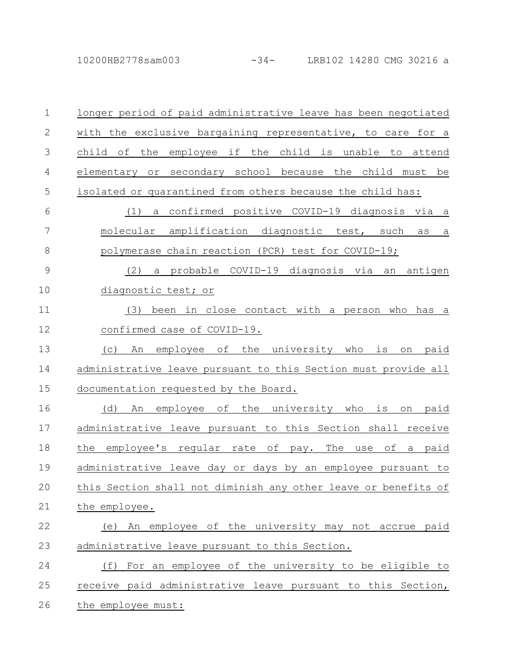10200HB2778sam003 -34- LRB102 14280 CMG 30216 a

| $\mathbf 1$  | longer period of paid administrative leave has been negotiated              |
|--------------|-----------------------------------------------------------------------------|
| $\mathbf{2}$ | with the exclusive bargaining representative, to care for a                 |
| 3            | employee if the<br>child is unable to<br>child of<br>the<br>attend          |
| 4            | elementary or secondary school because the child must be                    |
| 5            | isolated or quarantined from others because the child has:                  |
| 6            | confirmed positive COVID-19 diagnosis via a<br>(1)<br>a                     |
| 7            | molecular amplification diagnostic test, such<br>as<br>a                    |
| $\,8\,$      | polymerase chain reaction (PCR) test for COVID-19;                          |
| $\mathsf 9$  | a probable COVID-19 diagnosis via<br>antigen<br>(2)<br>an                   |
| 10           | diagnostic test; or                                                         |
| 11           | been in close contact with a person who<br>(3)<br>has a                     |
| 12           | confirmed case of COVID-19.                                                 |
| 13           | the university who<br>is<br>(C)<br>An<br>employee of<br>paid<br>on          |
| 14           | administrative leave pursuant to this Section must provide all              |
| 15           | documentation requested by the Board.                                       |
| 16           | оf<br>the<br>university<br>is<br>(d)<br>An<br>employee<br>who<br>paid<br>on |
| 17           | administrative leave pursuant to this Section shall receive                 |
| 18           | the<br>employee's reqular rate of pay.<br>The<br>of a paid<br>use           |
| 19           | administrative leave day or days by an employee pursuant to                 |
| 20           | this Section shall not diminish any other leave or benefits of              |
| 21           | the employee.                                                               |
| 22           | (e) An employee of the university may not accrue paid                       |
| 23           | administrative leave pursuant to this Section.                              |
| 24           | For an employee of the university to be eligible to<br>(f)                  |
| 25           | receive paid administrative leave pursuant to this Section,                 |
| 26           | the employee must:                                                          |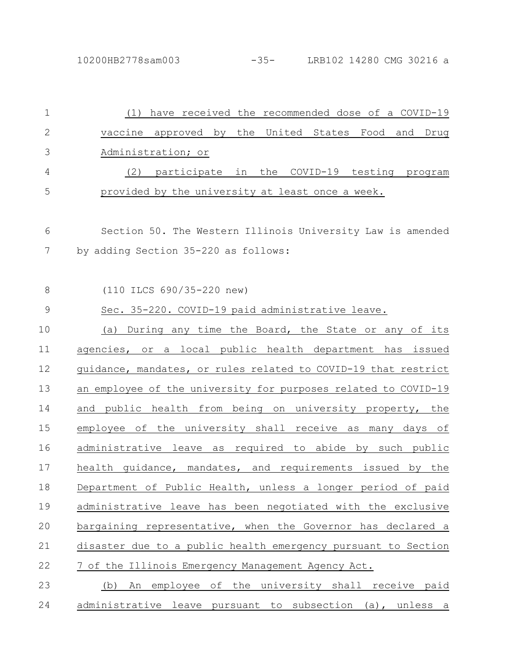| $\mathbf 1$   | (1) have received the recommended dose of a COVID-19           |
|---------------|----------------------------------------------------------------|
| $\mathbf{2}$  | vaccine approved by the United States Food and Drug            |
| 3             | Administration; or                                             |
| 4             | participate in the COVID-19 testing program<br>(2)             |
| 5             | provided by the university at least once a week.               |
| 6             | Section 50. The Western Illinois University Law is amended     |
| 7             | by adding Section 35-220 as follows:                           |
| 8             | (110 ILCS 690/35-220 new)                                      |
| $\mathcal{G}$ | Sec. 35-220. COVID-19 paid administrative leave.               |
| 10            | (a) During any time the Board, the State or any of its         |
| 11            | agencies, or a local public health department has issued       |
| 12            | guidance, mandates, or rules related to COVID-19 that restrict |
| 13            | an employee of the university for purposes related to COVID-19 |
| 14            | and public health from being on university property, the       |
| 15            | employee of the university shall receive as many days of       |
| 16            | administrative leave as required to abide by such public       |
| 17            | health quidance, mandates, and requirements issued by the      |
| 18            | Department of Public Health, unless a longer period of paid    |
| 19            | administrative leave has been negotiated with the exclusive    |
| 20            | bargaining representative, when the Governor has declared a    |
| 21            | disaster due to a public health emergency pursuant to Section  |
| 22            | 7 of the Illinois Emergency Management Agency Act.             |
| 23            | An employee of the university shall receive paid<br>(b)        |
| 24            | administrative leave pursuant to subsection (a), unless a      |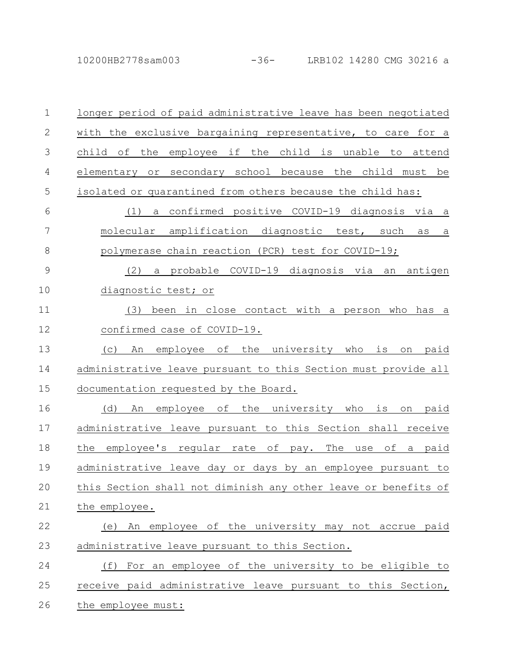10200HB2778sam003 -36- LRB102 14280 CMG 30216 a

| $\mathbf 1$   | longer period of paid administrative leave has been negotiated             |
|---------------|----------------------------------------------------------------------------|
| $\mathbf{2}$  | with the exclusive bargaining representative, to care for a                |
| 3             | if<br>the child is unable to<br>child of<br>the<br>employee<br>attend      |
| 4             | elementary or secondary school because the child must be                   |
| 5             | isolated or quarantined from others because the child has:                 |
| 6             | a confirmed positive COVID-19 diagnosis via a<br>(1)                       |
| 7             | molecular<br>amplification diagnostic test, such<br>as<br>a                |
| $\,8\,$       | polymerase chain reaction (PCR) test for COVID-19;                         |
| $\mathcal{G}$ | (2)<br>a probable COVID-19 diagnosis via an<br>antigen                     |
| 10            | diagnostic test; or                                                        |
| 11            | been in close contact with a person who<br>(3)<br>has<br>a                 |
| 12            | confirmed case of COVID-19.                                                |
| 13            | the university who<br>employee of<br>is<br>(C)<br>An<br>paid<br>on         |
| 14            | administrative leave pursuant to this Section must provide all             |
| 15            | documentation requested by the Board.                                      |
| 16            | employee of<br>the university who<br>(d)<br>is<br>paid<br>An<br>on         |
| 17            | administrative leave pursuant to this Section shall receive                |
| 18            | the<br>employee's reqular rate of<br>The<br>оf<br>paid<br>pay.<br>use<br>a |
| 19            | administrative leave day or days by an employee pursuant to                |
| 20            | this Section shall not diminish any other leave or benefits of             |
| 21            | the employee.                                                              |
| 22            | (e) An employee of the university may not accrue paid                      |
| 23            | administrative leave pursuant to this Section.                             |
| 24            | For an employee of the university to be eligible to<br>(f)                 |
| 25            | receive paid administrative leave pursuant to this Section,                |
| 26            | the employee must:                                                         |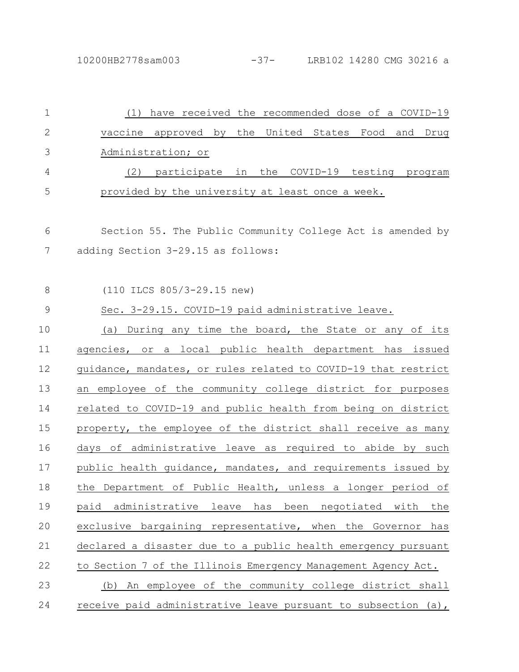| 1             | (1) have received the recommended dose of a COVID-19               |
|---------------|--------------------------------------------------------------------|
| $\mathbf{2}$  | vaccine approved by the United States Food<br>and<br>Drug          |
| 3             | Administration; or                                                 |
| 4             | (2) participate in the COVID-19 testing program                    |
| 5             | provided by the university at least once a week.                   |
| 6             | Section 55. The Public Community College Act is amended by         |
| 7             | adding Section 3-29.15 as follows:                                 |
| 8             | (110 ILCS 805/3-29.15 new)                                         |
| $\mathcal{G}$ | Sec. 3-29.15. COVID-19 paid administrative leave.                  |
| 10            | (a) During any time the board, the State or any of its             |
| 11            | agencies, or a local public health department has issued           |
| 12            | guidance, mandates, or rules related to COVID-19 that restrict     |
| 13            | an employee of the community college district for purposes         |
| 14            | related to COVID-19 and public health from being on district       |
| 15            | property, the employee of the district shall receive as many       |
| 16            | days of administrative leave as required to abide by such          |
| 17            | public health quidance, mandates, and requirements issued by       |
| 18            | the Department of Public Health, unless a longer period of         |
| 19            | paid administrative<br>leave<br>has<br>been negotiated with<br>the |
| 20            | exclusive bargaining representative, when the Governor<br>has      |
| 21            | declared a disaster due to a public health emergency pursuant      |
| 22            | to Section 7 of the Illinois Emergency Management Agency Act.      |
| 23            | An employee of the community college district shall<br>(b)         |
| 24            | receive paid administrative leave pursuant to subsection (a),      |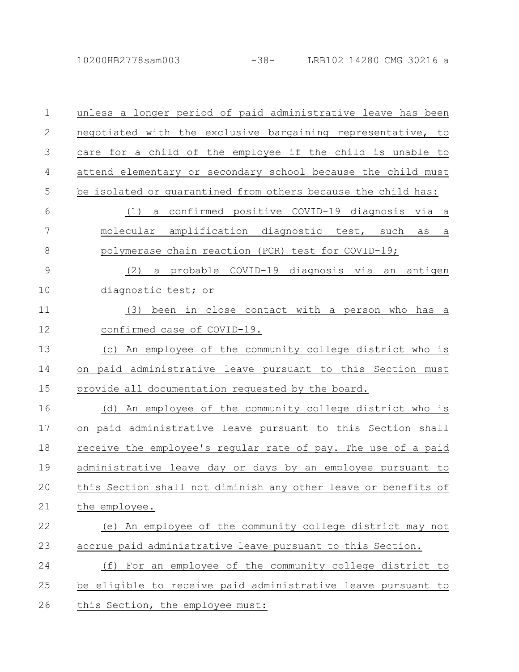10200HB2778sam003 -38- LRB102 14280 CMG 30216 a

unless a longer period of paid administrative leave has been negotiated with the exclusive bargaining representative, to care for a child of the employee if the child is unable to attend elementary or secondary school because the child must be isolated or quarantined from others because the child has: (1) a confirmed positive COVID-19 diagnosis via a molecular amplification diagnostic test, such as a polymerase chain reaction (PCR) test for COVID-19; (2) a probable COVID-19 diagnosis via an antigen diagnostic test; or (3) been in close contact with a person who has a confirmed case of COVID-19. (c) An employee of the community college district who is on paid administrative leave pursuant to this Section must provide all documentation requested by the board. (d) An employee of the community college district who is on paid administrative leave pursuant to this Section shall receive the employee's regular rate of pay. The use of a paid administrative leave day or days by an employee pursuant to this Section shall not diminish any other leave or benefits of the employee. (e) An employee of the community college district may not accrue paid administrative leave pursuant to this Section. (f) For an employee of the community college district to be eligible to receive paid administrative leave pursuant to this Section, the employee must: 1 2 3 4 5 6 7 8 9 10 11 12 13 14 15 16 17 18 19 20 21 22 23 24 25 26